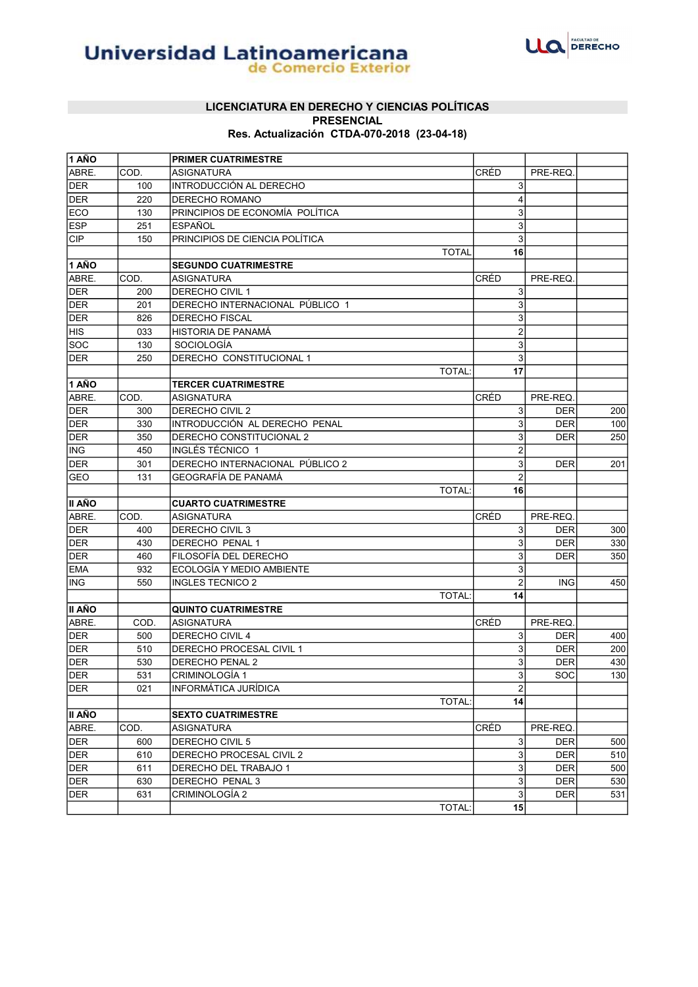

# **Universidad Latinoamericana**

#### LICENCIATURA EN DERECHO Y CIENCIAS POLÍTICAS PRESENCIAL Res. Actualización CTDA-070-2018 (23-04-18)

| $\overline{1}$ AÑO |      | <b>PRIMER CUATRIMESTRE</b>      |      |                         |            |     |
|--------------------|------|---------------------------------|------|-------------------------|------------|-----|
| ABRE.              | COD. | <b>ASIGNATURA</b>               | CRÉD |                         | PRE-REQ.   |     |
| <b>DER</b>         | 100  | INTRODUCCIÓN AL DERECHO         |      | 3                       |            |     |
| <b>DER</b>         | 220  | DERECHO ROMANO                  |      | $\overline{4}$          |            |     |
| ECO                | 130  | PRINCIPIOS DE ECONOMÍA POLÍTICA |      | 3                       |            |     |
| <b>ESP</b>         | 251  | <b>ESPAÑOL</b>                  |      | 3                       |            |     |
| <b>CIP</b>         | 150  | PRINCIPIOS DE CIENCIA POLÍTICA  |      | 3                       |            |     |
|                    |      | <b>TOTAL</b>                    |      | 16                      |            |     |
| <b>1 AÑO</b>       |      | <b>SEGUNDO CUATRIMESTRE</b>     |      |                         |            |     |
| ABRE.              | COD. | ASIGNATURA                      | CRÉD |                         | PRE-REQ.   |     |
| <b>DER</b>         | 200  | DERECHO CIVIL 1                 |      | 3                       |            |     |
| <b>DER</b>         | 201  | DERECHO INTERNACIONAL PÚBLICO 1 |      | 3                       |            |     |
| <b>DER</b>         | 826  | DERECHO FISCAL                  |      | 3                       |            |     |
| HIS <sup>T</sup>   | 033  | HISTORIA DE PANAMÁ              |      | $\overline{2}$          |            |     |
| <b>SOC</b>         | 130  | SOCIOLOGÍA                      |      | 3                       |            |     |
| <b>DER</b>         | 250  | DERECHO CONSTITUCIONAL 1        |      | 3                       |            |     |
|                    |      | <b>TOTAL:</b>                   |      | 17                      |            |     |
| <b>1 AÑO</b>       |      | <b>TERCER CUATRIMESTRE</b>      |      |                         |            |     |
| ABRE.              | COD. | ASIGNATURA                      | CRÉD |                         | PRE-REQ.   |     |
| <b>DER</b>         | 300  | DERECHO CIVIL 2                 |      | 3                       | <b>DER</b> | 200 |
| <b>DER</b>         | 330  | INTRODUCCIÓN AL DERECHO PENAL   |      | 3                       | <b>DER</b> | 100 |
| DER                | 350  | DERECHO CONSTITUCIONAL 2        |      | 3                       | <b>DER</b> | 250 |
| ING.               | 450  | INGLÉS TÉCNICO 1                |      | $\overline{\mathbf{c}}$ |            |     |
| DER                | 301  | DERECHO INTERNACIONAL PÚBLICO 2 |      | 3                       | <b>DER</b> | 201 |
| <b>GEO</b>         | 131  | GEOGRAFÍA DE PANAMÁ             |      | $\overline{2}$          |            |     |
|                    |      | <b>TOTAL:</b>                   |      | 16                      |            |     |
| ∣II AÑO            |      | <b>CUARTO CUATRIMESTRE</b>      |      |                         |            |     |
| ABRE.              | COD. | ASIGNATURA                      | CRÉD |                         | PRE-REQ.   |     |
| <b>DER</b>         | 400  | DERECHO CIVIL 3                 |      | 3                       | <b>DER</b> | 300 |
| <b>DER</b>         | 430  | DERECHO PENAL 1                 |      | 3                       | <b>DER</b> | 330 |
| DER                | 460  | FILOSOFÍA DEL DERECHO           |      | 3                       | <b>DER</b> | 350 |
| <b>EMA</b>         | 932  | ECOLOGÍA Y MEDIO AMBIENTE       |      | 3                       |            |     |
| <b>ING</b>         | 550  | <b>INGLES TECNICO 2</b>         |      | $\overline{2}$          | <b>ING</b> | 450 |
|                    |      | <b>TOTAL:</b>                   |      | 14                      |            |     |
| II AÑO             |      | <b>QUINTO CUATRIMESTRE</b>      |      |                         |            |     |
| ABRE.              | COD. | ASIGNATURA                      | CRÉD |                         | PRE-REQ.   |     |
| <b>DER</b>         | 500  | DERECHO CIVIL 4                 |      | 3                       | <b>DER</b> | 400 |
| <b>DER</b>         | 510  | DERECHO PROCESAL CIVIL 1        |      | 3                       | <b>DER</b> | 200 |
| DER                | 530  | <b>DERECHO PENAL 2</b>          |      | 3                       | <b>DER</b> | 430 |
| DER                | 531  | CRIMINOLOGÍA 1                  |      | $\overline{3}$          | SOC        | 130 |
| <b>DER</b>         | 021  | INFORMÁTICA JURÍDICA            |      | $\overline{2}$          |            |     |
|                    |      | <b>TOTAL:</b>                   |      | 14                      |            |     |
| ∣II AÑO            |      | <b>SEXTO CUATRIMESTRE</b>       |      |                         |            |     |
| ABRE.              | COD. | ASIGNATURA                      | CRÉD |                         | PRE-REQ.   |     |
| DER                | 600  | DERECHO CIVIL 5                 |      | 3                       | <b>DER</b> | 500 |
| <b>DER</b>         | 610  | DERECHO PROCESAL CIVIL 2        |      | $\overline{3}$          | <b>DER</b> | 510 |
| <b>DER</b>         | 611  | DERECHO DEL TRABAJO 1           |      | $\overline{3}$          | <b>DER</b> | 500 |
| DER                | 630  | DERECHO PENAL 3                 |      | $\mathbf{3}$            | <b>DER</b> | 530 |
| <b>DER</b>         | 631  | CRIMINOLOGÍA 2                  |      | $\mathbf{3}$            | <b>DER</b> | 531 |
|                    |      | TOTAL:                          |      | 15                      |            |     |